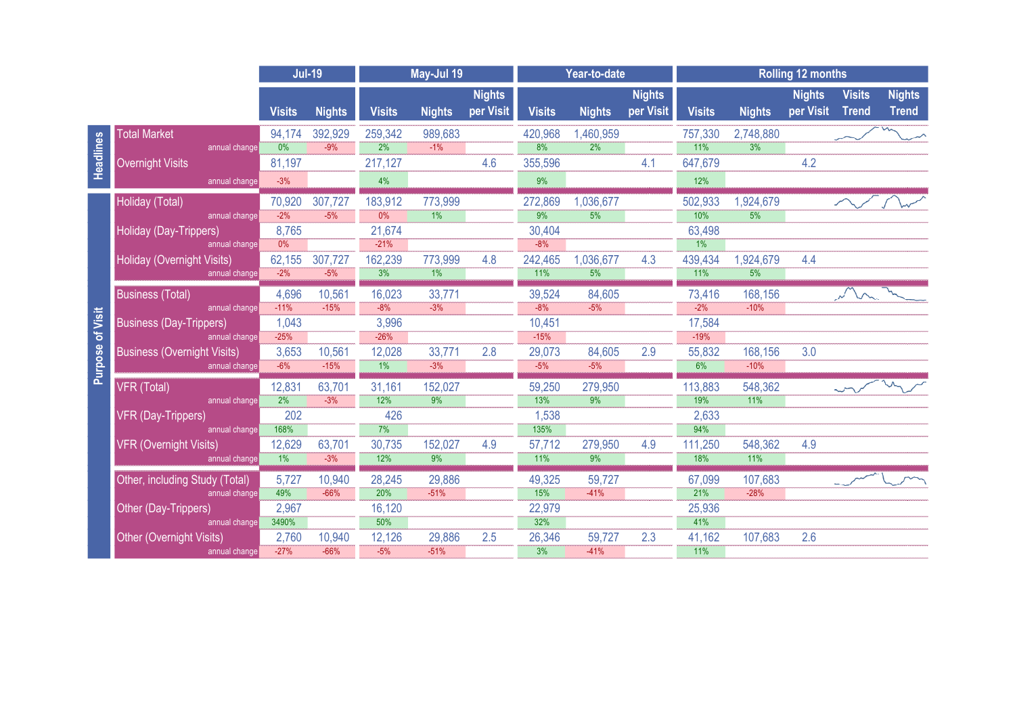|                            |                                                 | <b>Jul-19</b>    |                  | May-Jul 19       |                  |                            | Year-to-date      |                   |                            | <b>Rolling 12 months</b> |                   |                            |                               |                               |  |
|----------------------------|-------------------------------------------------|------------------|------------------|------------------|------------------|----------------------------|-------------------|-------------------|----------------------------|--------------------------|-------------------|----------------------------|-------------------------------|-------------------------------|--|
|                            |                                                 | <b>Visits</b>    | <b>Nights</b>    | <b>Visits</b>    | <b>Nights</b>    | <b>Nights</b><br>per Visit | <b>Visits</b>     | <b>Nights</b>     | <b>Nights</b><br>per Visit | <b>Visits</b>            | <b>Nights</b>     | <b>Nights</b><br>per Visit | <b>Visits</b><br><b>Trend</b> | <b>Nights</b><br><b>Trend</b> |  |
| Headlines                  | <b>Total Market</b>                             | 94,174           | 392,929          | 259,342          | 989,683          |                            | 420,968           | 1,460,959         |                            | 757,330                  | 2,748,880         |                            |                               |                               |  |
|                            | annual change                                   | 0%               | $-9%$            | $\overline{2\%}$ | $-1\%$           |                            | 8%                | $\overline{2\%}$  |                            | 71%                      | $\frac{3\%}{3\%}$ |                            |                               |                               |  |
|                            | <b>Overnight Visits</b>                         | 81,197           |                  | 217,127          |                  | 4.6                        | 355,596           |                   | 4.1                        | 647,679                  |                   | 4.2                        |                               |                               |  |
|                            | annual change                                   | $-3%$            |                  | 4%               |                  |                            | 9%                |                   |                            | 12%                      |                   |                            |                               |                               |  |
| of Visit<br><b>Purpose</b> | Holiday (Total)                                 | 70,920           | 307,727          | 183,912          | 773,999          |                            | 272,869           | 1,036,677         |                            | 502,933                  | 1,924,679         |                            |                               |                               |  |
|                            | annual change                                   | $-2%$            | $-5%$            | 0%               | $\frac{1}{1%}$   |                            | $\frac{1}{9\%}$   | 5%                |                            | 10%                      | 5%                |                            |                               |                               |  |
|                            | Holiday (Day-Trippers)                          | 8,765            |                  | 21,674           |                  |                            | 30,404            |                   |                            | 63,498                   |                   |                            |                               |                               |  |
|                            | annual change                                   | $0\%$            |                  | $-21%$           |                  |                            | $-8%$             |                   |                            | 1%                       |                   |                            |                               |                               |  |
|                            | Holiday (Overnight Visits)<br>annual change     | 62,155<br>$-2%$  | 307,727<br>$-5%$ | 162,239<br>3%    | 773,999<br>1%    | 4.8                        | 242,465<br>$11\%$ | 1,036,677<br>5%   | 4.3                        | 439,434<br>11%           | 1,924,679<br>5%   | 4.4                        |                               |                               |  |
|                            |                                                 |                  |                  |                  |                  |                            |                   |                   |                            |                          |                   |                            |                               |                               |  |
|                            | <b>Business (Total)</b><br>annual change        | 4,696<br>$-11%$  | 10,561<br>$-15%$ | 16,023<br>$-8%$  | 33,771<br>$-3%$  |                            | 39,524<br>$-8%$   | 84,605<br>$-5%$   |                            | 73,416<br>$-2\%$         | 168,156<br>$-10%$ |                            |                               |                               |  |
|                            | <b>Business (Day-Trippers)</b>                  | 1,043            |                  | 3,996            |                  |                            | 10,451            |                   |                            | 17,584                   |                   |                            |                               |                               |  |
|                            | annual change                                   | $-25%$           |                  | $-26%$           |                  |                            | $-15%$            |                   |                            | $-19%$                   |                   |                            |                               |                               |  |
|                            | <b>Business (Overnight Visits)</b>              | 3,653            | 10,561           | 12,028           | 33,771           | 2.8                        | 29,073            | 84,605            | 2.9                        | 55,832                   | 168,156           | 3.0                        |                               |                               |  |
|                            | annual change                                   | $-6%$            | $-15%$           | $\frac{1}{1%}$   | $-3%$            |                            | $-5%$             | $-5%$             |                            | 6%                       | $-10%$            |                            |                               |                               |  |
|                            | <b>VFR (Total)</b>                              | 12,831           | 63,701           | 31,161           | 152,027          |                            | 59,250            | 279,950           |                            | 113,883                  | 548,362           |                            |                               |                               |  |
|                            | annual change                                   | $\frac{2\%}{\ }$ | $-3%$            | 12%              | $\frac{1}{9\%}$  |                            | 13%               | $\frac{9\%}{9\%}$ |                            | 19%                      | 71%               |                            |                               |                               |  |
|                            | <b>VFR (Day-Trippers)</b>                       | 202              |                  | 426              |                  |                            | 1,538             |                   |                            | 2,633                    |                   |                            |                               |                               |  |
|                            | annual change                                   | 168%<br>12,629   | 63,701           | 7%               | 152,027          | 4.9                        | 135%              | 279,950           | 4.9                        | 94%                      | 548,362           | 4.9                        |                               |                               |  |
|                            | <b>VFR (Overnight Visits)</b><br>annual change  | $\overline{1\%}$ | $-3%$            | 30,735<br>12%    | $\overline{9\%}$ |                            | 57,712<br>11%     | $\overline{9\%}$  |                            | 111,250<br>18%           | <b>11%</b>        |                            |                               |                               |  |
|                            |                                                 |                  |                  |                  |                  |                            |                   |                   |                            |                          |                   |                            |                               |                               |  |
|                            | Other, including Study (Total)<br>annual change | 5,727<br>49%     | 10,940<br>$-66%$ | 28,245<br>20%    | 29,886<br>$-51%$ |                            | 49,325<br>15%     | 59,727<br>$-41%$  |                            | 67,099<br>21%            | 107,683<br>$-28%$ |                            |                               |                               |  |
|                            | Other (Day-Trippers)                            | 2,967            |                  | 16,120           |                  |                            | 22,979            |                   |                            | 25,936                   |                   |                            |                               |                               |  |
|                            | annual change                                   | 3490%            |                  | 50%              |                  |                            | 32%               |                   |                            | 41%                      |                   |                            |                               |                               |  |
|                            | <b>Other (Overnight Visits)</b>                 | 2,760            | 10,940           | 12,126           | 29,886           | 2.5                        | 26,346            | 59,727            | 2.3                        | 41,162                   | 107,683           | 2.6                        |                               |                               |  |
|                            | annual change                                   | $-27%$           | $-66%$           | $-5%$            | $-51%$           |                            | $\overline{3\%}$  | $-41%$            |                            | 11%                      |                   |                            |                               |                               |  |